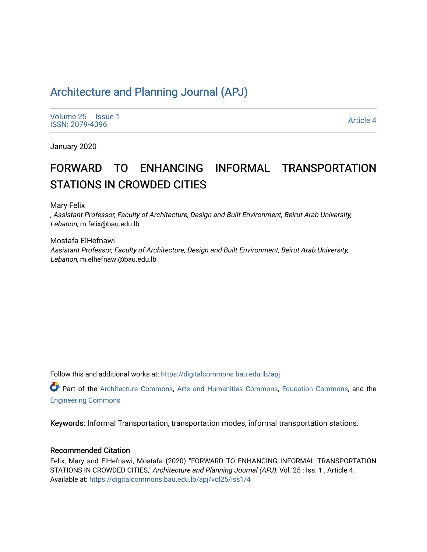# [Architecture and Planning Journal \(APJ\)](https://digitalcommons.bau.edu.lb/apj)

[Volume 25](https://digitalcommons.bau.edu.lb/apj/vol25) | [Issue 1](https://digitalcommons.bau.edu.lb/apj/vol25/iss1) Political Executive Contract of the Second Contract of the Second Contract of the [Article 4](https://digitalcommons.bau.edu.lb/apj/vol25/iss1/4) Article 4 and Second Contract of the Article 4 and Second Contract of the Article 4 and Second Contract of the Article 4 and Secon

January 2020

# FORWARD TO ENHANCING INFORMAL TRANSPORTATION STATIONS IN CROWDED CITIES

Mary Felix

, Assistant Professor, Faculty of Architecture, Design and Built Environment, Beirut Arab University, Lebanon, m.felix@bau.edu.lb

Mostafa ElHefnawi Assistant Professor, Faculty of Architecture, Design and Built Environment, Beirut Arab University, Lebanon, m.elhefnawi@bau.edu.lb

Follow this and additional works at: [https://digitalcommons.bau.edu.lb/apj](https://digitalcommons.bau.edu.lb/apj?utm_source=digitalcommons.bau.edu.lb%2Fapj%2Fvol25%2Fiss1%2F4&utm_medium=PDF&utm_campaign=PDFCoverPages) 

Part of the [Architecture Commons](http://network.bepress.com/hgg/discipline/773?utm_source=digitalcommons.bau.edu.lb%2Fapj%2Fvol25%2Fiss1%2F4&utm_medium=PDF&utm_campaign=PDFCoverPages), [Arts and Humanities Commons,](http://network.bepress.com/hgg/discipline/438?utm_source=digitalcommons.bau.edu.lb%2Fapj%2Fvol25%2Fiss1%2F4&utm_medium=PDF&utm_campaign=PDFCoverPages) [Education Commons](http://network.bepress.com/hgg/discipline/784?utm_source=digitalcommons.bau.edu.lb%2Fapj%2Fvol25%2Fiss1%2F4&utm_medium=PDF&utm_campaign=PDFCoverPages), and the [Engineering Commons](http://network.bepress.com/hgg/discipline/217?utm_source=digitalcommons.bau.edu.lb%2Fapj%2Fvol25%2Fiss1%2F4&utm_medium=PDF&utm_campaign=PDFCoverPages) 

Keywords: Informal Transportation, transportation modes, informal transportation stations.

#### Recommended Citation

Felix, Mary and ElHefnawi, Mostafa (2020) "FORWARD TO ENHANCING INFORMAL TRANSPORTATION STATIONS IN CROWDED CITIES," Architecture and Planning Journal (APJ): Vol. 25 : Iss. 1, Article 4. Available at: [https://digitalcommons.bau.edu.lb/apj/vol25/iss1/4](https://digitalcommons.bau.edu.lb/apj/vol25/iss1/4?utm_source=digitalcommons.bau.edu.lb%2Fapj%2Fvol25%2Fiss1%2F4&utm_medium=PDF&utm_campaign=PDFCoverPages)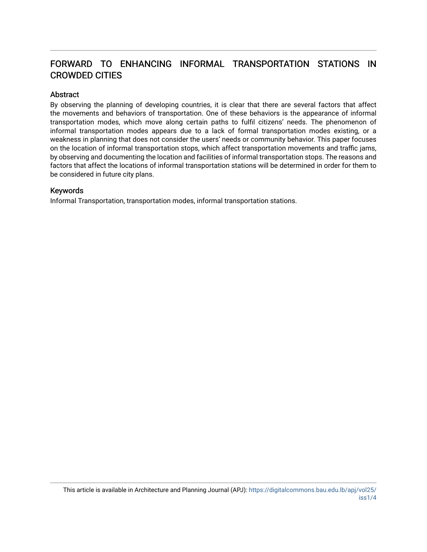# FORWARD TO ENHANCING INFORMAL TRANSPORTATION STATIONS IN CROWDED CITIES

#### Abstract

By observing the planning of developing countries, it is clear that there are several factors that affect the movements and behaviors of transportation. One of these behaviors is the appearance of informal transportation modes, which move along certain paths to fulfil citizens' needs. The phenomenon of informal transportation modes appears due to a lack of formal transportation modes existing, or a weakness in planning that does not consider the users' needs or community behavior. This paper focuses on the location of informal transportation stops, which affect transportation movements and traffic jams, by observing and documenting the location and facilities of informal transportation stops. The reasons and factors that affect the locations of informal transportation stations will be determined in order for them to be considered in future city plans.

#### Keywords

Informal Transportation, transportation modes, informal transportation stations.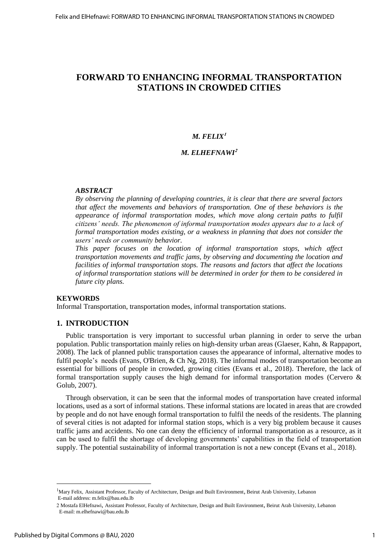# **FORWARD TO ENHANCING INFORMAL TRANSPORTATION STATIONS IN CROWDED CITIES**

# $M.$  **FELIX<sup>1</sup>**

#### *M. ELHEFNAWI***<sup>2</sup>**

#### *ABSTRACT*

*By observing the planning of developing countries, it is clear that there are several factors that affect the movements and behaviors of transportation. One of these behaviors is the appearance of informal transportation modes, which move along certain paths to fulfil citizens' needs. The phenomenon of informal transportation modes appears due to a lack of formal transportation modes existing, or a weakness in planning that does not consider the users' needs or community behavior.* 

*This paper focuses on the location of informal transportation stops, which affect transportation movements and traffic jams, by observing and documenting the location and facilities of informal transportation stops. The reasons and factors that affect the locations of informal transportation stations will be determined in order for them to be considered in future city plans.*

#### **KEYWORDS**

Informal Transportation, transportation modes, informal transportation stations.

#### **1. INTRODUCTION**

Public transportation is very important to successful urban planning in order to serve the urban population. Public transportation mainly relies on high-density urban areas (Glaeser, Kahn, & Rappaport, 2008). The lack of planned public transportation causes the appearance of informal, alternative modes to fulfil people's needs (Evans, O'Brien, & Ch Ng, 2018). The informal modes of transportation become an essential for billions of people in crowded, growing cities (Evans et al., 2018). Therefore, the lack of formal transportation supply causes the high demand for informal transportation modes (Cervero  $\&$ Golub, 2007).

Through observation, it can be seen that the informal modes of transportation have created informal locations, used as a sort of informal stations. These informal stations are located in areas that are crowded by people and do not have enough formal transportation to fulfil the needs of the residents. The planning of several cities is not adapted for informal station stops, which is a very big problem because it causes traffic jams and accidents. No one can deny the efficiency of informal transportation as a resource, as it can be used to fulfil the shortage of developing governments' capabilities in the field of transportation supply. The potential sustainability of informal transportation is not a new concept (Evans et al., 2018).

 $\overline{a}$ 

<sup>&</sup>lt;sup>1</sup>Mary Felix, Assistant Professor, Faculty of Architecture, Design and Built Environment, Beirut Arab University, Lebanon E-mail address: m.felix@bau.edu.lb

<sup>2</sup> Mostafa ElHefnawi, Assistant Professor, Faculty of Architecture, Design and Built Environment, Beirut Arab University, Lebanon E-mail: m.elhefnawi@bau.edu.lb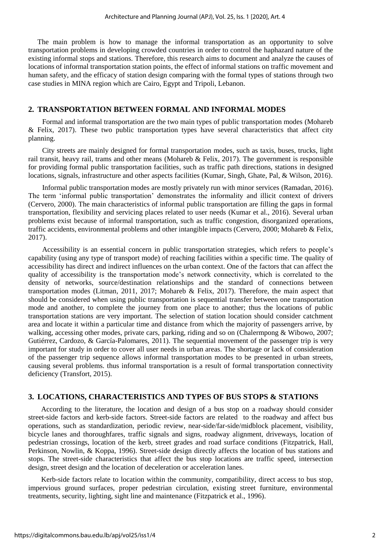The main problem is how to manage the informal transportation as an opportunity to solve transportation problems in developing crowded countries in order to control the haphazard nature of the existing informal stops and stations. Therefore, this research aims to document and analyze the causes of locations of informal transportation station points, the effect of informal stations on traffic movement and human safety, and the efficacy of station design comparing with the formal types of stations through two case studies in MINA region which are Cairo, Egypt and Tripoli, Lebanon.

#### **2. TRANSPORTATION BETWEEN FORMAL AND INFORMAL MODES**

Formal and informal transportation are the two main types of public transportation modes (Mohareb & Felix, 2017). These two public transportation types have several characteristics that affect city planning.

City streets are mainly designed for formal transportation modes, such as taxis, buses, trucks, light rail transit, heavy rail, trams and other means (Mohareb & Felix, 2017). The government is responsible for providing formal public transportation facilities, such as traffic path directions, stations in designed locations, signals, infrastructure and other aspects facilities (Kumar, Singh, Ghate, Pal, & Wilson, 2016).

Informal public transportation modes are mostly privately run with minor services (Ramadan, 2016). The term 'informal public transportation' demonstrates the informality and illicit context of drivers (Cervero, 2000). The main characteristics of informal public transportation are filling the gaps in formal transportation, flexibility and servicing places related to user needs (Kumar et al., 2016). Several urban problems exist because of informal transportation, such as traffic congestion, disorganized operations, traffic accidents, environmental problems and other intangible impacts (Cervero, 2000; Mohareb & Felix, 2017).

Accessibility is an essential concern in public transportation strategies, which refers to people's capability (using any type of transport mode) of reaching facilities within a specific time. The quality of accessibility has direct and indirect influences on the urban context. One of the factors that can affect the quality of accessibility is the transportation mode's network connectivity, which is correlated to the density of networks, source/destination relationships and the standard of connections between transportation modes (Litman, 2011, 2017; Mohareb & Felix, 2017). Therefore, the main aspect that should be considered when using public transportation is sequential transfer between one transportation mode and another, to complete the journey from one place to another; thus the locations of public transportation stations are very important. The selection of station location should consider catchment area and locate it within a particular time and distance from which the majority of passengers arrive, by walking, accessing other modes, private cars, parking, riding and so on (Chalermpong & Wibowo, 2007; Gutiérrez, Cardozo, & García-Palomares, 2011). The sequential movement of the passenger trip is very important for study in order to cover all user needs in urban areas. The shortage or lack of consideration of the passenger trip sequence allows informal transportation modes to be presented in urban streets, causing several problems. thus informal transportation is a result of formal transportation connectivity deficiency (Transfort, 2015).

#### **3. LOCATIONS, CHARACTERISTICS AND TYPES OF BUS STOPS & STATIONS**

According to the literature, the location and design of a bus stop on a roadway should consider street-side factors and kerb-side factors. Street-side factors are related to the roadway and affect bus operations, such as standardization, periodic review, near-side/far-side/midblock placement, visibility, bicycle lanes and thoroughfares, traffic signals and signs, roadway alignment, driveways, location of pedestrian crossings, location of the kerb, street grades and road surface conditions (Fitzpatrick, Hall, Perkinson, Nowlin, & Koppa, 1996). Street-side design directly affects the location of bus stations and stops. The street-side characteristics that affect the bus stop locations are traffic speed, intersection design, street design and the location of deceleration or acceleration lanes.

Kerb-side factors relate to location within the community, compatibility, direct access to bus stop, impervious ground surfaces, proper pedestrian circulation, existing street furniture, environmental treatments, security, lighting, sight line and maintenance (Fitzpatrick et al., 1996).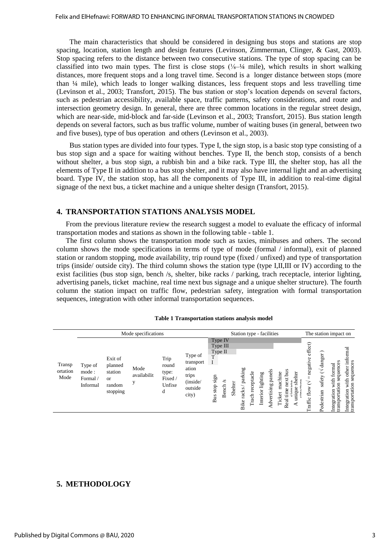The main characteristics that should be considered in designing bus stops and stations are stop spacing, location, station length and design features (Levinson, Zimmerman, Clinger, & Gast, 2003). Stop spacing refers to the distance between two consecutive stations. The type of stop spacing can be classified into two main types. The first is close stops (⅛–¼ mile), which results in short walking distances, more frequent stops and a long travel time. Second is a longer distance between stops (more than ¼ mile), which leads to longer walking distances, less frequent stops and less travelling time (Levinson et al., 2003; Transfort, 2015). The bus station or stop's location depends on several factors, such as pedestrian accessibility, available space, traffic patterns, safety considerations, and route and intersection geometry design. In general, there are three common locations in the regular street design, which are near-side, mid-block and far-side (Levinson et al., 2003; Transfort, 2015). Bus station length depends on several factors, such as bus traffic volume, number of waiting buses (in general, between two and five buses), type of bus operation and others (Levinson et al., 2003).

Bus station types are divided into four types. Type I, the sign stop, is a basic stop type consisting of a bus stop sign and a space for waiting without benches. Type II, the bench stop, consists of a bench without shelter, a bus stop sign, a rubbish bin and a bike rack. Type III, the shelter stop, has all the elements of Type II in addition to a bus stop shelter, and it may also have internal light and an advertising board. Type IV, the station stop, has all the components of Type III, in addition to real-time digital signage of the next bus, a ticket machine and a unique shelter design (Transfort, 2015).

#### **4. TRANSPORTATION STATIONS ANALYSIS MODEL**

From the previous literature review the research suggest a model to evaluate the efficacy of informal transportation modes and stations as shown in the following table - table 1.

The first column shows the transportation mode such as taxies, minibuses and others. The second column shows the mode specifications in terms of type of mode (formal / informal), exit of planned station or random stopping, mode availability, trip round type (fixed / unfixed) and type of transportation trips (inside/ outside city). The third column shows the station type (type I,II,III or IV) according to the exist facilities (bus stop sign, bench /s, shelter, bike racks / parking, trach receptacle, interior lighting, advertising panels, ticket machine, real time next bus signage and a unique shelter structure). The fourth column the station impact on traffic flow, pedestrian safety, integration with formal transportation sequences, integration with other informal transportation sequences.

| <b>Table 1 Transportation stations analysis model</b> |  |  |
|-------------------------------------------------------|--|--|
|                                                       |  |  |

|                            | Mode specifications                     |                                                                      |                     |                                                  |                                                                        | Station type - facilities                                                                 |         |                          |                     |                                           |                                       |             | The station impact on                        |                                      |                                                                 |                                                                           |
|----------------------------|-----------------------------------------|----------------------------------------------------------------------|---------------------|--------------------------------------------------|------------------------------------------------------------------------|-------------------------------------------------------------------------------------------|---------|--------------------------|---------------------|-------------------------------------------|---------------------------------------|-------------|----------------------------------------------|--------------------------------------|-----------------------------------------------------------------|---------------------------------------------------------------------------|
| Transp<br>ortation<br>Mode | Type of<br>mode:<br>Formal/<br>Informal | Exit of<br>planned<br>station<br><sub>or</sub><br>random<br>stopping | Mode<br>availabilit | Trip<br>round<br>type:<br>Fixed /<br>Unfixe<br>d | Type of<br>transport<br>ation<br>trips<br>(inside/<br>outside<br>city) | Type IV<br>Type III<br>Type $II$<br>$\mathbf{I}$<br>sign<br>S<br>ench<br>stop<br>Bus<br>∞ | Shelter | parking<br>racks<br>Bike | receptacle<br>Trach | panel<br>Interior lighting<br>Advertising | hine<br>ă<br>ಕ<br>Ē<br>ಕ<br>Ē<br>Real | helter<br>Ξ | effect)<br>negativ<br>7<br>flow<br>ပ<br>affi | danger)<br>➢<br>safety<br>Pedestrian | S<br>quence<br>formal<br>with<br>$\overline{5}$<br>grati<br>nsp | informal<br>sequences<br>other<br>£<br>Ę<br>transportation<br>Integration |

#### **5. METHODOLOGY**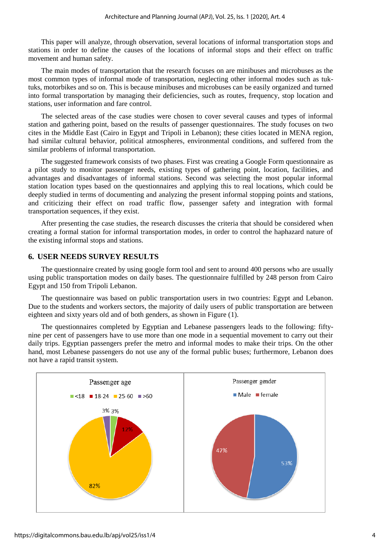This paper will analyze, through observation, several locations of informal transportation stops and stations in order to define the causes of the locations of informal stops and their effect on traffic movement and human safety.

The main modes of transportation that the research focuses on are minibuses and microbuses as the most common types of informal mode of transportation, neglecting other informal modes such as tuktuks, motorbikes and so on. This is because minibuses and microbuses can be easily organized and turned into formal transportation by managing their deficiencies, such as routes, frequency, stop location and stations, user information and fare control.

The selected areas of the case studies were chosen to cover several causes and types of informal station and gathering point, based on the results of passenger questionnaires. The study focuses on two cites in the Middle East (Cairo in Egypt and Tripoli in Lebanon); these cities located in MENA region, had similar cultural behavior, political atmospheres, environmental conditions, and suffered from the similar problems of informal transportation.

The suggested framework consists of two phases. First was creating a Google Form questionnaire as a pilot study to monitor passenger needs, existing types of gathering point, location, facilities, and advantages and disadvantages of informal stations. Second was selecting the most popular informal station location types based on the questionnaires and applying this to real locations, which could be deeply studied in terms of documenting and analyzing the present informal stopping points and stations, and criticizing their effect on road traffic flow, passenger safety and integration with formal transportation sequences, if they exist.

After presenting the case studies, the research discusses the criteria that should be considered when creating a formal station for informal transportation modes, in order to control the haphazard nature of the existing informal stops and stations.

### **6. USER NEEDS SURVEY RESULTS**

The questionnaire created by using google form tool and sent to around 400 persons who are usually using public transportation modes on daily bases. The questionnaire fulfilled by 248 person from Cairo Egypt and 150 from Tripoli Lebanon.

The questionnaire was based on public transportation users in two countries: Egypt and Lebanon. Due to the students and workers sectors, the majority of daily users of public transportation are between eighteen and sixty years old and of both genders, as shown in Figure (1).

The questionnaires completed by Egyptian and Lebanese passengers leads to the following: fiftynine per cent of passengers have to use more than one mode in a sequential movement to carry out their daily trips. Egyptian passengers prefer the metro and informal modes to make their trips. On the other hand, most Lebanese passengers do not use any of the formal public buses; furthermore, Lebanon does not have a rapid transit system.

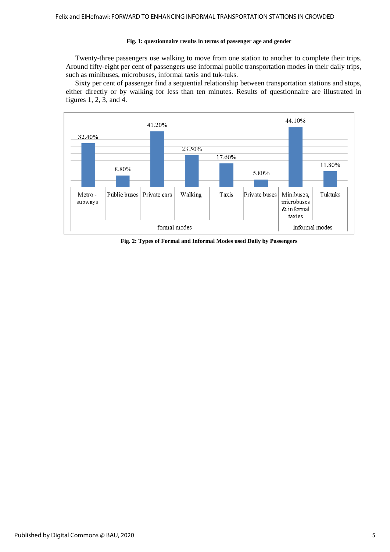#### **Fig. 1: questionnaire results in terms of passenger age and gender**

Twenty-three passengers use walking to move from one station to another to complete their trips. Around fifty-eight per cent of passengers use informal public transportation modes in their daily trips, such as minibuses, microbuses, informal taxis and tuk-tuks.

Sixty per cent of passenger find a sequential relationship between transportation stations and stops, either directly or by walking for less than ten minutes. Results of questionnaire are illustrated in figures 1, 2, 3, and 4.



**Fig. 2: Types of Formal and Informal Modes used Daily by Passengers**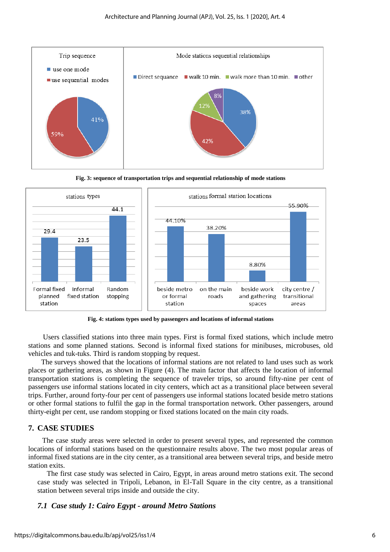





**Fig. 4: stations types used by passengers and locations of informal stations**

Users classified stations into three main types. First is formal fixed stations, which include metro stations and some planned stations. Second is informal fixed stations for minibuses, microbuses, old vehicles and tuk-tuks. Third is random stopping by request.

The surveys showed that the locations of informal stations are not related to land uses such as work places or gathering areas, as shown in Figure (4). The main factor that affects the location of informal transportation stations is completing the sequence of traveler trips, so around fifty-nine per cent of passengers use informal stations located in city centers, which act as a transitional place between several trips. Further, around forty-four per cent of passengers use informal stations located beside metro stations or other formal stations to fulfil the gap in the formal transportation network. Other passengers, around thirty-eight per cent, use random stopping or fixed stations located on the main city roads.

#### **7. CASE STUDIES**

The case study areas were selected in order to present several types, and represented the common locations of informal stations based on the questionnaire results above. The two most popular areas of informal fixed stations are in the city center, as a transitional area between several trips, and beside metro station exits.

The first case study was selected in Cairo, Egypt, in areas around metro stations exit. The second case study was selected in Tripoli, Lebanon, in El-Tall Square in the city centre, as a transitional station between several trips inside and outside the city.

#### *7.1 Case study 1: Cairo Egypt - around Metro Stations*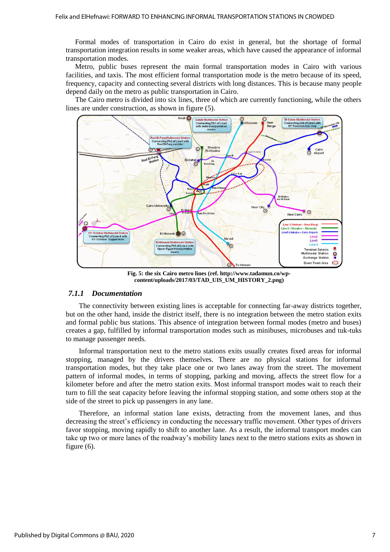Formal modes of transportation in Cairo do exist in general, but the shortage of formal transportation integration results in some weaker areas, which have caused the appearance of informal transportation modes.

Metro, public buses represent the main formal transportation modes in Cairo with various facilities, and taxis. The most efficient formal transportation mode is the metro because of its speed, frequency, capacity and connecting several districts with long distances. This is because many people depend daily on the metro as public transportation in Cairo.

The Cairo metro is divided into six lines, three of which are currently functioning, while the others lines are under construction, as shown in figure (5).



**Fig. 5: the six Cairo metro lines (ref. http://www.tadamun.co/wpcontent/uploads/2017/03/TAD\_UIS\_UM\_HISTORY\_2.png)**

#### *7.1.1 Documentation*

The connectivity between existing lines is acceptable for connecting far-away districts together, but on the other hand, inside the district itself, there is no integration between the metro station exits and formal public bus stations. This absence of integration between formal modes (metro and buses) creates a gap, fulfilled by informal transportation modes such as minibuses, microbuses and tuk-tuks to manage passenger needs.

Informal transportation next to the metro stations exits usually creates fixed areas for informal stopping, managed by the drivers themselves. There are no physical stations for informal transportation modes, but they take place one or two lanes away from the street. The movement pattern of informal modes, in terms of stopping, parking and moving, affects the street flow for a kilometer before and after the metro station exits. Most informal transport modes wait to reach their turn to fill the seat capacity before leaving the informal stopping station, and some others stop at the side of the street to pick up passengers in any lane.

Therefore, an informal station lane exists, detracting from the movement lanes, and thus decreasing the street's efficiency in conducting the necessary traffic movement. Other types of drivers favor stopping, moving rapidly to shift to another lane. As a result, the informal transport modes can take up two or more lanes of the roadway's mobility lanes next to the metro stations exits as shown in figure (6).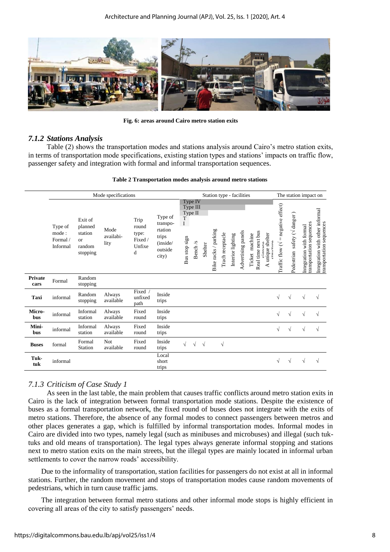

**Fig. 6: areas around Cairo metro station exits** 

## *7.1.2 Stations Analysis*

Table (2) shows the transportation modes and stations analysis around Cairo's metro station exits, in terms of transportation mode specifications, existing station types and stations' impacts on traffic flow, passenger safety and integration with formal and informal transportation sequences.

|                        | Mode specifications                      |                                                                  |                           |                                                  |                                                                         |                                           | Station type - facilities      |            |                      |                  |                   |                    |                   |                                                  | The station impact on |                                             |                                          |                                                     |                                                             |
|------------------------|------------------------------------------|------------------------------------------------------------------|---------------------------|--------------------------------------------------|-------------------------------------------------------------------------|-------------------------------------------|--------------------------------|------------|----------------------|------------------|-------------------|--------------------|-------------------|--------------------------------------------------|-----------------------|---------------------------------------------|------------------------------------------|-----------------------------------------------------|-------------------------------------------------------------|
|                        | Type of<br>mode:<br>Formal /<br>Informal | Exit of<br>planned<br>station<br><b>or</b><br>random<br>stopping | Mode<br>availabi-<br>lity | Trip<br>round<br>type:<br>Fixed /<br>Unfixe<br>d | Type of<br>transpo-<br>rtation<br>trips<br>(inside/<br>outside<br>city) | Type II<br>T<br>$\bf{I}$<br>Bus stop sign | Type IV<br>Type III<br>Bench/s | Shelter    | Bike racks / parking | Trach receptacle | Interior lighting | Advertising panels | machine<br>Ticket | Real time next bus<br>A unique shelter<br>cimana | <b>of the cent</b>    | Fraffic flow $(\sqrt{ }$ = negative effect) | safety ( $\sqrt{d}$ anger)<br>Pedestrian | transportation sequences<br>Integration with formal | Integration with other informal<br>transportation sequences |
| <b>Private</b><br>cars | $\operatorname{Formal}$                  | Random<br>stopping                                               |                           |                                                  |                                                                         |                                           |                                |            |                      |                  |                   |                    |                   |                                                  |                       |                                             |                                          |                                                     |                                                             |
| Taxi                   | informal                                 | Random<br>stopping                                               | Always<br>available       | Fixed<br>unfixed<br>path                         | Inside<br>trips                                                         |                                           |                                |            |                      |                  |                   |                    |                   |                                                  |                       | $\sqrt{}$                                   | $\sqrt{ }$                               | $\sqrt{ }$                                          | $\sqrt{ }$                                                  |
| Micro-<br>bus          | informal                                 | Informal<br>station                                              | Always<br>available       | Fixed<br>round                                   | Inside<br>trips                                                         |                                           |                                |            |                      |                  |                   |                    |                   |                                                  |                       | √                                           | V                                        | V                                                   | $\sqrt{}$                                                   |
| Mini-<br>bus           | informal                                 | Informal<br>station                                              | Always<br>available       | Fixed<br>round                                   | Inside<br>trips                                                         |                                           |                                |            |                      |                  |                   |                    |                   |                                                  |                       | √                                           | $\sqrt{ }$                               | V                                                   | $\sqrt{}$                                                   |
| <b>Buses</b>           | formal                                   | Formal<br>Station                                                | Not<br>available          | Fixed<br>round                                   | Inside<br>trips                                                         |                                           | V                              | $\sqrt{ }$ |                      | $\sqrt{ }$       |                   |                    |                   |                                                  |                       |                                             |                                          |                                                     |                                                             |
| Tuk-<br>tuk            | informal                                 |                                                                  |                           |                                                  | Local<br>short<br>trips                                                 |                                           |                                |            |                      |                  |                   |                    |                   |                                                  |                       | √                                           | V                                        |                                                     | $\sqrt{}$                                                   |

# *7.1.3 Criticism of Case Study 1*

As seen in the last table, the main problem that causes traffic conflicts around metro station exits in Cairo is the lack of integration between formal transportation mode stations. Despite the existence of buses as a formal transportation network, the fixed round of buses does not integrate with the exits of metro stations. Therefore, the absence of any formal modes to connect passengers between metros and other places generates a gap, which is fulfilled by informal transportation modes. Informal modes in Cairo are divided into two types, namely legal (such as minibuses and microbuses) and illegal (such tuktuks and old means of transportation). The legal types always generate informal stopping and stations next to metro station exits on the main streets, but the illegal types are mainly located in informal urban settlements to cover the narrow roads' accessibility.

Due to the informality of transportation, station facilities for passengers do not exist at all in informal stations. Further, the random movement and stops of transportation modes cause random movements of pedestrians, which in turn cause traffic jams.

The integration between formal metro stations and other informal mode stops is highly efficient in covering all areas of the city to satisfy passengers' needs.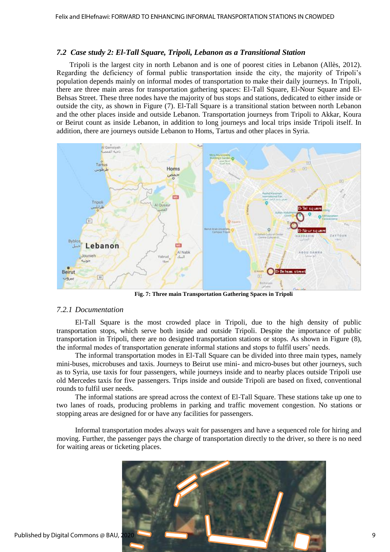### *7.2 Case study 2: El-Tall Square, Tripoli, Lebanon as a Transitional Station*

Tripoli is the largest city in north Lebanon and is one of poorest cities in Lebanon (Allès, 2012). Regarding the deficiency of formal public transportation inside the city, the majority of Tripoli's population depends mainly on informal modes of transportation to make their daily journeys. In Tripoli, there are three main areas for transportation gathering spaces: El-Tall Square, El-Nour Square and El-Behsas Street. These three nodes have the majority of bus stops and stations, dedicated to either inside or outside the city, as shown in Figure (7). El-Tall Square is a transitional station between north Lebanon and the other places inside and outside Lebanon. Transportation journeys from Tripoli to Akkar, Koura or Beirut count as inside Lebanon, in addition to long journeys and local trips inside Tripoli itself. In addition, there are journeys outside Lebanon to Homs, Tartus and other places in Syria.



**Fig. 7: Three main Transportation Gathering Spaces in Tripoli**

#### *7.2.1 Documentation*

El-Tall Square is the most crowded place in Tripoli, due to the high density of public transportation stops, which serve both inside and outside Tripoli. Despite the importance of public transportation in Tripoli, there are no designed transportation stations or stops. As shown in Figure (8), the informal modes of transportation generate informal stations and stops to fulfil users' needs.

The informal transportation modes in El-Tall Square can be divided into three main types, namely mini-buses, microbuses and taxis. Journeys to Beirut use mini- and micro-buses but other journeys, such as to Syria, use taxis for four passengers, while journeys inside and to nearby places outside Tripoli use old Mercedes taxis for five passengers. Trips inside and outside Tripoli are based on fixed, conventional rounds to fulfil user needs.

The informal stations are spread across the context of El-Tall Square. These stations take up one to two lanes of roads, producing problems in parking and traffic movement congestion. No stations or stopping areas are designed for or have any facilities for passengers.

Informal transportation modes always wait for passengers and have a sequenced role for hiring and moving. Further, the passenger pays the charge of transportation directly to the driver, so there is no need for waiting areas or ticketing places.

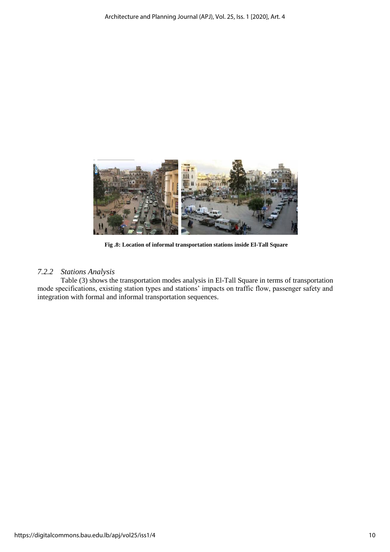

 **Fig .8: Location of informal transportation stations inside El-Tall Square**

# *7.2.2 Stations Analysis*

Table (3) shows the transportation modes analysis in El-Tall Square in terms of transportation mode specifications, existing station types and stations' impacts on traffic flow, passenger safety and integration with formal and informal transportation sequences.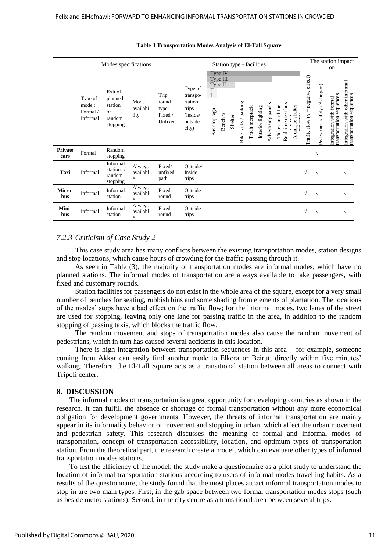|                        | Modes specifications                    |                                                                  |                           |                                              |                                                                         | Station type - facilities                                                                                                                                                                                                                                                                                                                                                                                                          | The station impact                                          |  |  |  |  |
|------------------------|-----------------------------------------|------------------------------------------------------------------|---------------------------|----------------------------------------------|-------------------------------------------------------------------------|------------------------------------------------------------------------------------------------------------------------------------------------------------------------------------------------------------------------------------------------------------------------------------------------------------------------------------------------------------------------------------------------------------------------------------|-------------------------------------------------------------|--|--|--|--|
|                        |                                         |                                                                  |                           |                                              |                                                                         | on                                                                                                                                                                                                                                                                                                                                                                                                                                 |                                                             |  |  |  |  |
|                        | Type of<br>mode:<br>Formal/<br>Informal | Exit of<br>planned<br>station<br><b>or</b><br>random<br>stopping | Mode<br>availabi-<br>lity | Trip<br>round<br>type:<br>Fixed /<br>Unfixed | Type of<br>transpo-<br>rtation<br>trips<br>(inside/<br>outside<br>city) | Type IV<br>= negative effect)<br>Type III<br>Type II<br>safety ( $\sqrt{d}$ anger)<br>T<br>transportation sequences<br>$\mathbf{I}$<br>with formal<br>Bike racks / parking<br>Advertising panels<br>Real time next bus<br>Trach receptacle<br>A unique shelter<br>Ticket machine<br>Interior lighting<br>Bus stop sign<br>Bench /s<br>$\Gamma$ nffic flow ( $\sqrt$<br>etruotura<br>Shelter<br>cianaa<br>Integration<br>Pedestrian | Integration with other informal<br>transportation sequences |  |  |  |  |
| <b>Private</b><br>cars | Formal                                  | Random<br>stopping                                               |                           |                                              |                                                                         | V                                                                                                                                                                                                                                                                                                                                                                                                                                  |                                                             |  |  |  |  |
| Taxi                   | Informal                                | Informal<br>station /<br>random<br>stopping                      | Always<br>availabl<br>e   | Fixed/<br>unfixed<br>path                    | Outside/<br>Inside<br>trips                                             | √<br>$\sqrt{ }$                                                                                                                                                                                                                                                                                                                                                                                                                    |                                                             |  |  |  |  |
| Micro-<br>bus          | Informal                                | Informal<br>station                                              | Always<br>availabl<br>e   | Fixed<br>round                               | Outside<br>trips                                                        | $\sqrt{}$<br>$\sqrt{ }$                                                                                                                                                                                                                                                                                                                                                                                                            | N                                                           |  |  |  |  |
| Mini-<br>bus           | Informal                                | Informal<br>station                                              | Always<br>availabl<br>e   | Fixed<br>round                               | Outside<br>trips                                                        | V<br>$\sqrt{}$                                                                                                                                                                                                                                                                                                                                                                                                                     | N                                                           |  |  |  |  |

#### **Table 3 Transportation Modes Analysis of El-Tall Square**

## *7.2.3 Criticism of Case Study 2*

This case study area has many conflicts between the existing transportation modes, station designs and stop locations, which cause hours of crowding for the traffic passing through it.

As seen in Table (3), the majority of transportation modes are informal modes, which have no planned stations. The informal modes of transportation are always available to take passengers, with fixed and customary rounds.

Station facilities for passengers do not exist in the whole area of the square, except for a very small number of benches for seating, rubbish bins and some shading from elements of plantation. The locations of the modes' stops have a bad effect on the traffic flow; for the informal modes, two lanes of the street are used for stopping, leaving only one lane for passing traffic in the area, in addition to the random stopping of passing taxis, which blocks the traffic flow.

The random movement and stops of transportation modes also cause the random movement of pedestrians, which in turn has caused several accidents in this location.

There is high integration between transportation sequences in this area – for example, someone coming from Akkar can easily find another mode to Elkora or Beirut, directly within five minutes' walking. Therefore, the El-Tall Square acts as a transitional station between all areas to connect with Tripoli center.

#### **8. DISCUSSION**

The informal modes of transportation is a great opportunity for developing countries as shown in the research. It can fulfill the absence or shortage of formal transportation without any more economical obligation for development governments. However, the threats of informal transportation are mainly appear in its informality behavior of movement and stopping in urban, which affect the urban movement and pedestrian safety. This research discusses the meaning of formal and informal modes of transportation, concept of transportation accessibility, location, and optimum types of transportation station. From the theoretical part, the research create a model, which can evaluate other types of informal transportation modes stations.

To test the efficiency of the model, the study make a questionnaire as a pilot study to understand the location of informal transportation stations according to users of informal modes travelling habits. As a results of the questionnaire, the study found that the most places attract informal transportation modes to stop in are two main types. First, in the gab space between two formal transportation modes stops (such as beside metro stations). Second, in the city centre as a transitional area between several trips.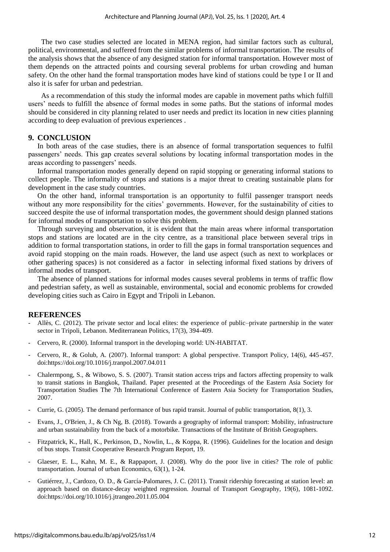The two case studies selected are located in MENA region, had similar factors such as cultural, political, environmental, and suffered from the similar problems of informal transportation. The results of the analysis shows that the absence of any designed station for informal transportation. However most of them depends on the attracted points and coursing several problems for urban crowding and human safety. On the other hand the formal transportation modes have kind of stations could be type I or II and also it is safer for urban and pedestrian.

As a recommendation of this study the informal modes are capable in movement paths which fulfill users' needs to fulfill the absence of formal modes in some paths. But the stations of informal modes should be considered in city planning related to user needs and predict its location in new cities planning according to deep evaluation of previous experiences .

#### **9. CONCLUSION**

In both areas of the case studies, there is an absence of formal transportation sequences to fulfil passengers' needs. This gap creates several solutions by locating informal transportation modes in the areas according to passengers' needs.

Informal transportation modes generally depend on rapid stopping or generating informal stations to collect people. The informality of stops and stations is a major threat to creating sustainable plans for development in the case study countries.

On the other hand, informal transportation is an opportunity to fulfil passenger transport needs without any more responsibility for the cities' governments. However, for the sustainability of cities to succeed despite the use of informal transportation modes, the government should design planned stations for informal modes of transportation to solve this problem.

Through surveying and observation, it is evident that the main areas where informal transportation stops and stations are located are in the city centre, as a transitional place between several trips in addition to formal transportation stations, in order to fill the gaps in formal transportation sequences and avoid rapid stopping on the main roads. However, the land use aspect (such as next to workplaces or other gathering spaces) is not considered as a factor in selecting informal fixed stations by drivers of informal modes of transport.

The absence of planned stations for informal modes causes several problems in terms of traffic flow and pedestrian safety, as well as sustainable, environmental, social and economic problems for crowded developing cities such as Cairo in Egypt and Tripoli in Lebanon.

#### **REFERENCES**

- Allès, C. (2012). The private sector and local elites: the experience of public–private partnership in the water sector in Tripoli, Lebanon. Mediterranean Politics, 17(3), 394-409.
- Cervero, R. (2000). Informal transport in the developing world: UN-HABITAT.
- Cervero, R., & Golub, A. (2007). Informal transport: A global perspective. Transport Policy, 14(6), 445-457. doi[:https://doi.org/10.1016/j.tranpol.2007.04.011](https://doi.org/10.1016/j.tranpol.2007.04.011)
- Chalermpong, S., & Wibowo, S. S. (2007). Transit station access trips and factors affecting propensity to walk to transit stations in Bangkok, Thailand. Paper presented at the Proceedings of the Eastern Asia Society for Transportation Studies The 7th International Conference of Eastern Asia Society for Transportation Studies, 2007.
- Currie, G. (2005). The demand performance of bus rapid transit. Journal of public transportation, 8(1), 3.
- Evans, J., O'Brien, J., & Ch Ng, B. (2018). Towards a geography of informal transport: Mobility, infrastructure and urban sustainability from the back of a motorbike. Transactions of the Institute of British Geographers.
- Fitzpatrick, K., Hall, K., Perkinson, D., Nowlin, L., & Koppa, R. (1996). Guidelines for the location and design of bus stops. Transit Cooperative Research Program Report, 19.
- Glaeser, E. L., Kahn, M. E., & Rappaport, J. (2008). Why do the poor live in cities? The role of public transportation. Journal of urban Economics, 63(1), 1-24.
- Gutiérrez, J., Cardozo, O. D., & García-Palomares, J. C. (2011). Transit ridership forecasting at station level: an approach based on distance-decay weighted regression. Journal of Transport Geography, 19(6), 1081-1092. doi[:https://doi.org/10.1016/j.jtrangeo.2011.05.004](https://doi.org/10.1016/j.jtrangeo.2011.05.004)